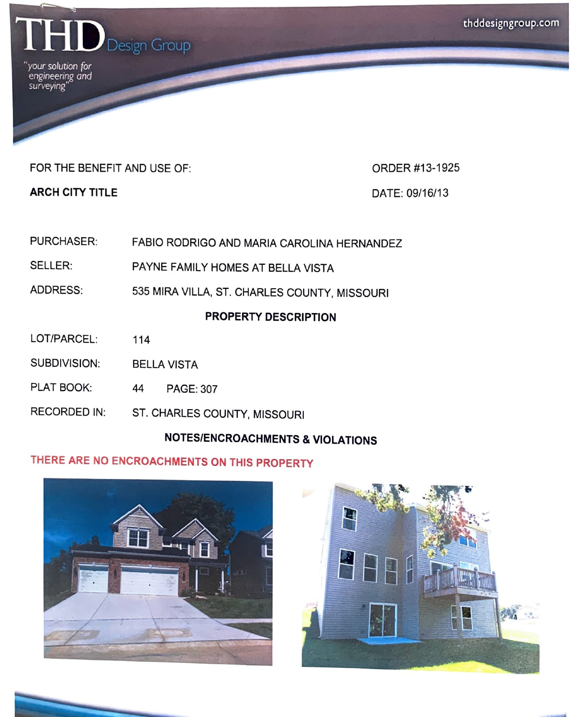

*"your solution (or engineering and surveying"* 

## FOR THE BENEFIT AND USE OF: **ORDER #13-1925**

**ARCH CITY TITLE DATE: 09/16/13** 

- PURCHASER: FABIO RODRIGO AND MARIA CAROLINA HERNANDEZ
- SELLER: PAYNE FAMILY HOMES AT BELLA VISTA
- ADDRESS: 535 MIRA VILLA, ST. CHARLES COUNTY, MISSOURI

## **PROPERTY DESCRIPTION**

- LOT/PARCEL: 114
- SUBDIVISION: BELLA VISTA
- PLAT BOOK: 44 PAGE: 307
- RECORDED IN: ST. CHARLES COUNTY, MISSOURI

## **NOTES/ENCROACHMENTS & VIOLATIONS**

## **THERE ARE NO ENCROACHMENTS ON THIS PROPERTY**